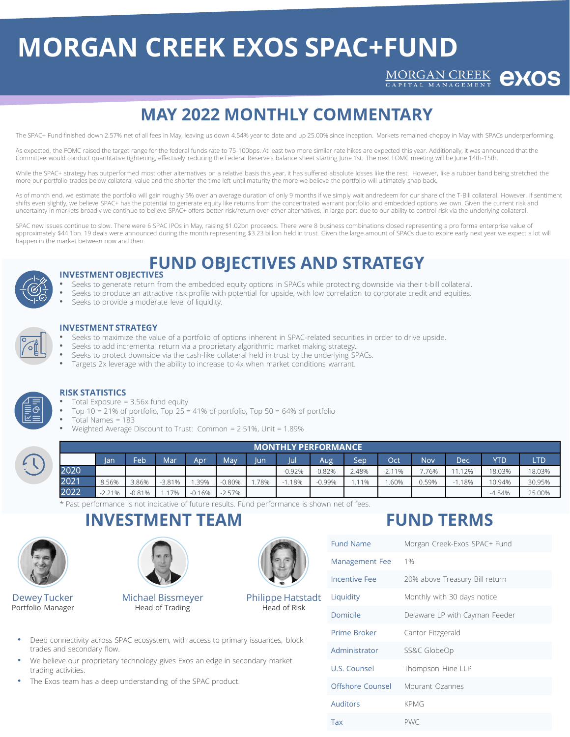## **MORGAN CREEK EXOS SPAC+FUND**

MORGAN CREEK **eXOS** 

## **MAY 2022 MONTHLY COMMENTARY**

The SPAC+ Fund finished down 2.57% net of all fees in May, leaving us down 4.54% year to date and up 25.00% since inception. Markets remained choppy in May with SPACs underperforming.

As expected, the FOMC raised the target range for the federal funds rate to 75-100bps. At least two more similar rate hikes are expected this year. Additionally, it was announced that the Committee would conduct quantitative tightening, effectively reducing the Federal Reserve's balance sheet starting June 1st. The next FOMC meeting will be June 14th-15th.

While the SPAC+ strategy has outperformed most other alternatives on a relative basis this year, it has suffered absolute losses like the rest. However, like a rubber band being stretched the more our portfolio trades below collateral value and the shorter the time left until maturity the more we believe the portfolio will ultimately snap back.

As of month end, we estimate the portfolio will gain roughly 5% over an average duration of only 9 months if we simply wait andredeem for our share of the T-Bill collateral. However, if sentiment shifts even slightly, we believe SPAC+ has the potential to generate equity like returns from the concentrated warrant portfolio and embedded options we own. Given the current risk and uncertainty in markets broadly we continue to believe SPAC+ offers better risk/return over other alternatives, in large part due to our ability to control risk via the underlying collateral.

SPAC new issues continue to slow. There were 6 SPAC IPOs in May, raising \$1.02bn proceeds. There were 8 business combinations closed representing a pro forma enterprise value of approximately \$44.1bn. 19 deals were announced during the month representing \$3.23 billion held in trust. Given the large amount of SPACs due to expire early next year we expect a lot will happen in the market between now and then.

## **FUND OBJECTIVES AND STRATEGY**



## **INVESTMENT OBJECTIVES**

- Seeks to generate return from the embedded equity options in SPACs while protecting downside via their t-bill collateral.
- Seeks to produce an attractive risk profile with potential for upside, with low correlation to corporate credit and equities.
	- Seeks to provide a moderate level of liquidity.



### **INVESTMENT STRATEGY**

- Seeks to maximize the value of a portfolio of options inherent in SPAC-related securities in order to drive upside.
- Seeks to add incremental return via a proprietary algorithmic market making strategy.
- Seeks to protect downside via the cash-like collateral held in trust by the underlying SPACs.
- Targets 2x leverage with the ability to increase to 4x when market conditions warrant.



## **RISK STATISTICS**

- Total Exposure  $= 3.56x$  fund equity
- Top 10 = 21% of portfolio, Top 25 = 41% of portfolio, Top 50 = 64% of portfolio
- Total Names = 183
	- Weighted Average Discount to Trust: Common = 2.51%, Unit = 1.89%

|                          | ' MONTHLY PERFORMANCE . |          |       |                 |          |          |      |          |          |       |          |       |      |          |        |
|--------------------------|-------------------------|----------|-------|-----------------|----------|----------|------|----------|----------|-------|----------|-------|------|----------|--------|
|                          |                         | /lan     | Feb   | Mar             | Apr      | May      | lun  | Jul      | Aug      | Sep   | Oct      | Nov   | Dec  | YTD      | LTD.   |
| $\overline{\phantom{0}}$ | 2020                    |          |       |                 |          |          |      | $-0.92%$ | $-0.82%$ | 2.48% | $-2.11%$ | .76%  | .12% | 18.03%   | 18.03% |
|                          | 2021                    | 8.56%    | 3.86% | $-3.81%$        | .39%     | 0.80%    | .78% | .18%     | 0.99%    | .11%  | .60%     | 0.59% | .18% | 10.94%   | 30.95% |
|                          | 2022                    | $-2.21%$ | 0.81% | 70 <sub>6</sub> | $0.16\%$ | $-2.57%$ |      |          |          |       |          |       |      | $-4.54%$ | 25.00% |

\* Past performance is not indicative of future results. Fund performance is shown net of fees.

# **INVESTMENT TEAM**



Dewey Tucker Portfolio Manager



Michael Bissmeyer Head of Trading



Philippe Hatstadt Head of Risk



Fund Name Morgan Creek-Exos SPAC+ Fund

**FUND TERMS**

| <b>Management Fee</b> | 1%                             |  |  |  |  |
|-----------------------|--------------------------------|--|--|--|--|
| <b>Incentive Fee</b>  | 20% above Treasury Bill return |  |  |  |  |
| Liquidity             | Monthly with 30 days notice    |  |  |  |  |
| Domicile              | Delaware LP with Cayman Feeder |  |  |  |  |
| Prime Broker          | Cantor Fitzgerald              |  |  |  |  |
| Administrator         | SS&C GlobeOp                   |  |  |  |  |
| U.S. Counsel          | Thompson Hine LLP              |  |  |  |  |
| Offshore Counsel      | Mourant Ozannes                |  |  |  |  |
| Auditors              | <b>KPMG</b>                    |  |  |  |  |
| Tax                   | <b>PWC</b>                     |  |  |  |  |

- Deep connectivity across SPAC ecosystem, with access to primary issuances, block trades and secondary flow.
- We believe our proprietary technology gives Exos an edge in secondary market trading activities.
- The Exos team has a deep understanding of the SPAC product.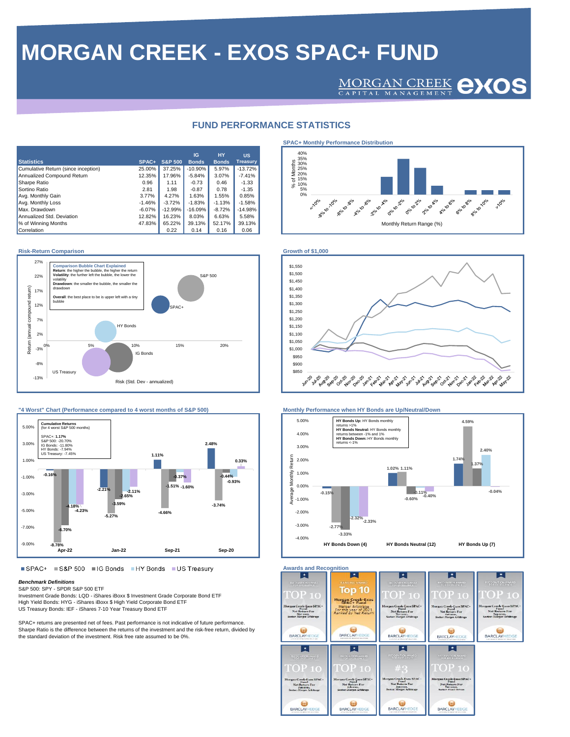## **MORGAN CREEK - EXOS SPAC+ FUND**

## MORGAN CREEK **CXOS**

### **FUND PERFORMANCE STATISTICS**

| <b>Statistics</b>                   | SPAC+    | <b>S&amp;P 500</b> | IG<br><b>Bonds</b> | <b>HY</b><br><b>Bonds</b> | <b>US</b><br><b>Treasurv</b> |
|-------------------------------------|----------|--------------------|--------------------|---------------------------|------------------------------|
| Cumulative Return (since inception) | 25.00%   | 37.25%             | $-10.90%$          | 5.97%                     | $-13.72%$                    |
| Annualized Compound Return          | 12.35%   | 17.96%             | $-5.84%$           | 3.07%                     | $-7.41%$                     |
| Sharpe Ratio                        | 0.96     | 1.11               | $-0.73$            | 0.46                      | $-1.33$                      |
| Sortino Ratio                       | 2.81     | 1.98               | $-0.87$            | 0.78                      | $-1.35$                      |
| Avg. Monthly Gain                   | 3.77%    | 4.27%              | 1.63%              | 1.55%                     | 0.85%                        |
| Avg. Monthly Loss                   | $-1.46%$ | $-3.72%$           | $-1.83%$           | $-1.13%$                  | $-1.58%$                     |
| Max. Drawdown                       | $-6.07%$ | $-12.99%$          | $-16.09%$          | $-8.72%$                  | $-14.98%$                    |
| Annualized Std. Deviation           | 12.82%   | 16.23%             | 8.03%              | 6.63%                     | 5.58%                        |
| % of Winning Months                 | 47.83%   | 65.22%             | 39.13%             | 52.17%                    | 39.13%                       |
| Correlation                         |          | 0.22               | 0.14               | 0.16                      | 0.06                         |

### **Risk-Return Comparison Growth of \$1,000**





■ SPAC+ ■ S&P 500 ■ IG Bonds ■ HY Bonds ■ US Treasury

### *Benchmark Definitions* S&P 500: SPY - SPDR S&P 500 ETF

Investment Grade Bonds: LQD - iShares iBoxx \$ Investment Grade Corporate Bond ETF High Yield Bonds: HYG - iShares iBoxx \$ High Yield Corporate Bond ETF US Treasury Bonds: IEF - iShares 7-10 Year Treasury Bond ETF

SPAC+ returns are presented net of fees. Past performance is not indicative of future performance. Sharpe Ratio is the difference between the returns of the investment and the risk-free return, divided by the standard deviation of the investment. Risk free rate assumed to be 0%.